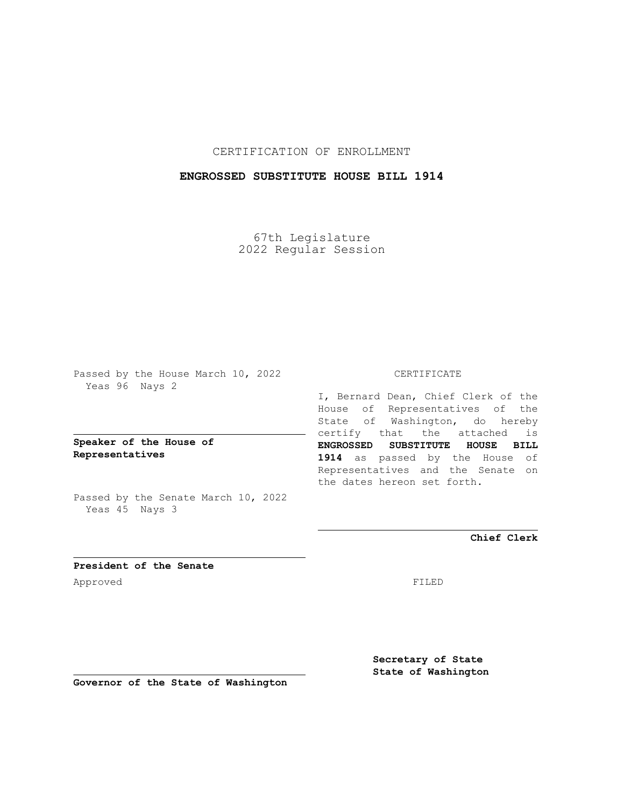CERTIFICATION OF ENROLLMENT

## **ENGROSSED SUBSTITUTE HOUSE BILL 1914**

67th Legislature 2022 Regular Session

Passed by the House March 10, 2022 Yeas 96 Nays 2

**Speaker of the House of Representatives**

Passed by the Senate March 10, 2022 Yeas 45 Nays 3

## CERTIFICATE

I, Bernard Dean, Chief Clerk of the House of Representatives of the State of Washington, do hereby certify that the attached is **ENGROSSED SUBSTITUTE HOUSE BILL 1914** as passed by the House of Representatives and the Senate on the dates hereon set forth.

**Chief Clerk**

**President of the Senate** Approved FILED

**Secretary of State State of Washington**

**Governor of the State of Washington**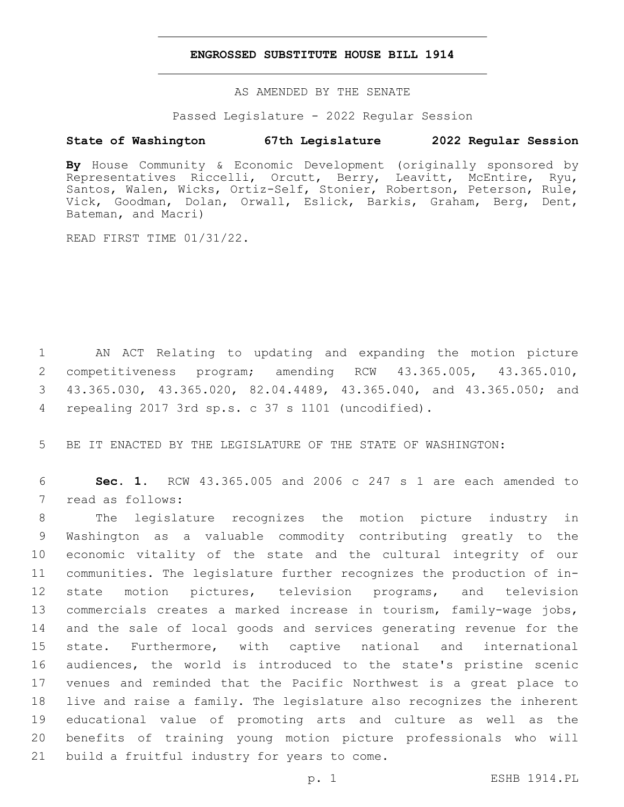## **ENGROSSED SUBSTITUTE HOUSE BILL 1914**

AS AMENDED BY THE SENATE

Passed Legislature - 2022 Regular Session

## **State of Washington 67th Legislature 2022 Regular Session**

**By** House Community & Economic Development (originally sponsored by Representatives Riccelli, Orcutt, Berry, Leavitt, McEntire, Ryu, Santos, Walen, Wicks, Ortiz-Self, Stonier, Robertson, Peterson, Rule, Vick, Goodman, Dolan, Orwall, Eslick, Barkis, Graham, Berg, Dent, Bateman, and Macri)

READ FIRST TIME 01/31/22.

 AN ACT Relating to updating and expanding the motion picture competitiveness program; amending RCW 43.365.005, 43.365.010, 43.365.030, 43.365.020, 82.04.4489, 43.365.040, and 43.365.050; and repealing 2017 3rd sp.s. c 37 s 1101 (uncodified).4

5 BE IT ENACTED BY THE LEGISLATURE OF THE STATE OF WASHINGTON:

6 **Sec. 1.** RCW 43.365.005 and 2006 c 247 s 1 are each amended to 7 read as follows:

 The legislature recognizes the motion picture industry in Washington as a valuable commodity contributing greatly to the economic vitality of the state and the cultural integrity of our communities. The legislature further recognizes the production of in- state motion pictures, television programs, and television commercials creates a marked increase in tourism, family-wage jobs, and the sale of local goods and services generating revenue for the state. Furthermore, with captive national and international audiences, the world is introduced to the state's pristine scenic venues and reminded that the Pacific Northwest is a great place to live and raise a family. The legislature also recognizes the inherent educational value of promoting arts and culture as well as the benefits of training young motion picture professionals who will 21 build a fruitful industry for years to come.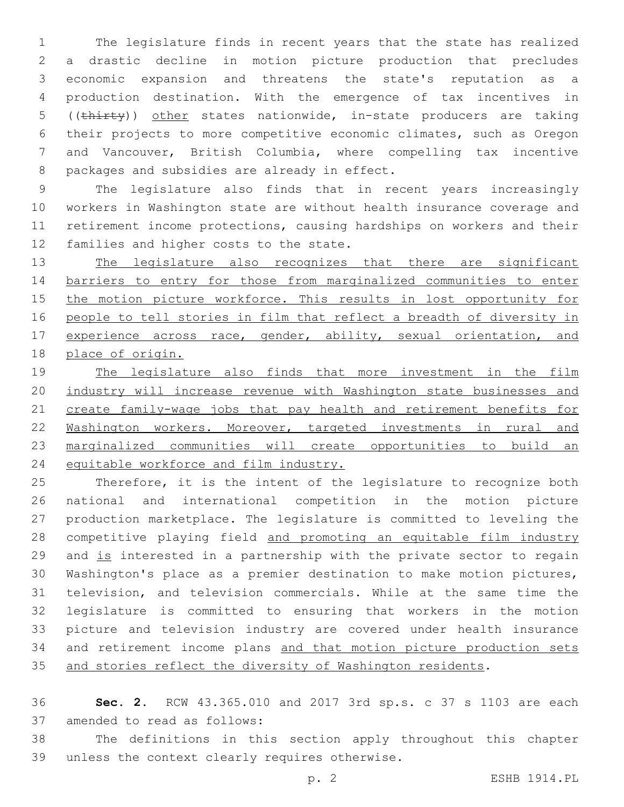The legislature finds in recent years that the state has realized a drastic decline in motion picture production that precludes economic expansion and threatens the state's reputation as a production destination. With the emergence of tax incentives in ((thirty)) other states nationwide, in-state producers are taking their projects to more competitive economic climates, such as Oregon and Vancouver, British Columbia, where compelling tax incentive 8 packages and subsidies are already in effect.

 The legislature also finds that in recent years increasingly workers in Washington state are without health insurance coverage and retirement income protections, causing hardships on workers and their 12 families and higher costs to the state.

13 The legislature also recognizes that there are significant barriers to entry for those from marginalized communities to enter 15 the motion picture workforce. This results in lost opportunity for people to tell stories in film that reflect a breadth of diversity in 17 experience across race, gender, ability, sexual orientation, and place of origin.

 The legislature also finds that more investment in the film industry will increase revenue with Washington state businesses and 21 create family-wage jobs that pay health and retirement benefits for Washington workers. Moreover, targeted investments in rural and marginalized communities will create opportunities to build an equitable workforce and film industry.

 Therefore, it is the intent of the legislature to recognize both national and international competition in the motion picture production marketplace. The legislature is committed to leveling the competitive playing field and promoting an equitable film industry and is interested in a partnership with the private sector to regain Washington's place as a premier destination to make motion pictures, television, and television commercials. While at the same time the legislature is committed to ensuring that workers in the motion picture and television industry are covered under health insurance and retirement income plans and that motion picture production sets 35 and stories reflect the diversity of Washington residents.

 **Sec. 2.** RCW 43.365.010 and 2017 3rd sp.s. c 37 s 1103 are each 37 amended to read as follows:

 The definitions in this section apply throughout this chapter 39 unless the context clearly requires otherwise.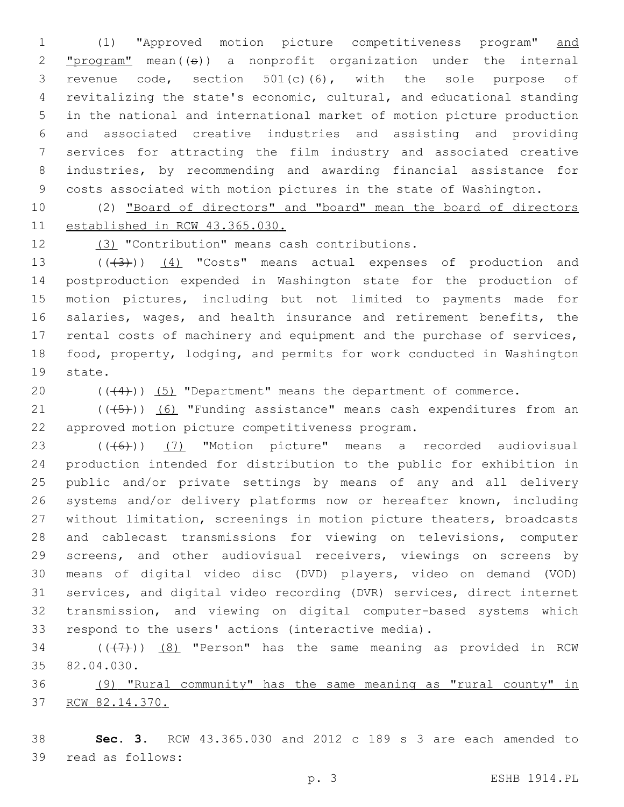(1) "Approved motion picture competitiveness program" and  $"program" mean((\theta))$  a nonprofit organization under the internal revenue code, section 501(c)(6), with the sole purpose of revitalizing the state's economic, cultural, and educational standing in the national and international market of motion picture production and associated creative industries and assisting and providing services for attracting the film industry and associated creative industries, by recommending and awarding financial assistance for costs associated with motion pictures in the state of Washington.

 (2) "Board of directors" and "board" mean the board of directors established in RCW 43.365.030.

(3) "Contribution" means cash contributions.12

13 (((43))) (4) "Costs" means actual expenses of production and postproduction expended in Washington state for the production of motion pictures, including but not limited to payments made for salaries, wages, and health insurance and retirement benefits, the rental costs of machinery and equipment and the purchase of services, food, property, lodging, and permits for work conducted in Washington 19 state.

20  $((+4))$   $(5)$  "Department" means the department of commerce.

 ( $(\overline{+5})$ ) (6) "Funding assistance" means cash expenditures from an approved motion picture competitiveness program.22

 (((6))) (7) "Motion picture" means a recorded audiovisual production intended for distribution to the public for exhibition in public and/or private settings by means of any and all delivery systems and/or delivery platforms now or hereafter known, including without limitation, screenings in motion picture theaters, broadcasts and cablecast transmissions for viewing on televisions, computer screens, and other audiovisual receivers, viewings on screens by means of digital video disc (DVD) players, video on demand (VOD) services, and digital video recording (DVR) services, direct internet transmission, and viewing on digital computer-based systems which respond to the users' actions (interactive media).

34  $((+7+))$   $(8)$  "Person" has the same meaning as provided in RCW 35 82.04.030.

 (9) "Rural community" has the same meaning as "rural county" in RCW 82.14.370.

 **Sec. 3.** RCW 43.365.030 and 2012 c 189 s 3 are each amended to 39 read as follows: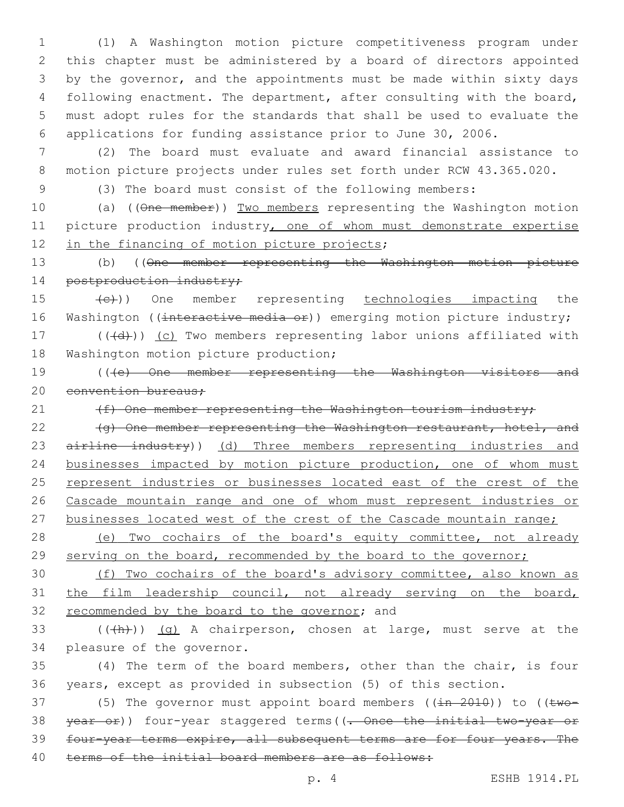(1) A Washington motion picture competitiveness program under this chapter must be administered by a board of directors appointed by the governor, and the appointments must be made within sixty days following enactment. The department, after consulting with the board, must adopt rules for the standards that shall be used to evaluate the applications for funding assistance prior to June 30, 2006.

7 (2) The board must evaluate and award financial assistance to 8 motion picture projects under rules set forth under RCW 43.365.020.

9 (3) The board must consist of the following members:

10 (a) ((One member)) Two members representing the Washington motion 11 picture production industry, one of whom must demonstrate expertise 12 in the financing of motion picture projects;

13 (b) ((One member representing the Washington motion picture 14 postproduction industry;

15 (e)) One member representing technologies impacting the 16 Washington ((interactive media or)) emerging motion picture industry;

17 (((d))) (c) Two members representing labor unions affiliated with 18 Washington motion picture production;

19 (((e) One member representing the Washington visitors and 20 convention bureaus:

21 (f) One member representing the Washington tourism industry;

22 (g) One member representing the Washington restaurant, hotel, and 23 airline industry)) (d) Three members representing industries and 24 businesses impacted by motion picture production, one of whom must 25 represent industries or businesses located east of the crest of the 26 Cascade mountain range and one of whom must represent industries or 27 businesses located west of the crest of the Cascade mountain range;

28 (e) Two cochairs of the board's equity committee, not already 29 serving on the board, recommended by the board to the governor;

30 (f) Two cochairs of the board's advisory committee, also known as 31 the film leadership council, not already serving on the board, 32 recommended by the board to the governor; and

33  $((+h))$   $(q)$  A chairperson, chosen at large, must serve at the 34 pleasure of the governor.

35 (4) The term of the board members, other than the chair, is four 36 years, except as provided in subsection (5) of this section.

37 (5) The governor must appoint board members  $((\pm n - 2010))$  to  $((\pm wo -$ 38 year or)) four-year staggered terms ((. Once the initial two-year or 39 four-year terms expire, all subsequent terms are for four years. The 40 terms of the initial board members are as follows: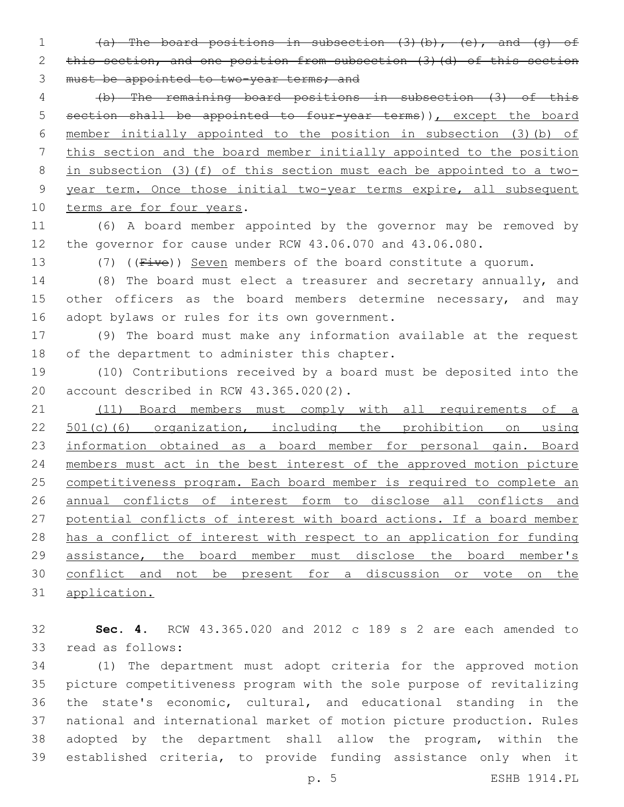(a) The board positions in subsection (3)(b), (e), and (g) of 2 this section, and one position from subsection (3) (d) of this section 3 must be appointed to two-year terms; and

 (b) The remaining board positions in subsection (3) of this section shall be appointed to four-year terms)), except the board member initially appointed to the position in subsection (3)(b) of this section and the board member initially appointed to the position in subsection (3)(f) of this section must each be appointed to a two- year term. Once those initial two-year terms expire, all subsequent 10 terms are for four years.

 (6) A board member appointed by the governor may be removed by the governor for cause under RCW 43.06.070 and 43.06.080.

13 (7) ((Five)) Seven members of the board constitute a quorum.

 (8) The board must elect a treasurer and secretary annually, and 15 other officers as the board members determine necessary, and may 16 adopt bylaws or rules for its own government.

 (9) The board must make any information available at the request 18 of the department to administer this chapter.

 (10) Contributions received by a board must be deposited into the 20 account described in RCW 43.365.020(2).

 (11) Board members must comply with all requirements of a 22 501(c)(6) organization, including the prohibition on using 23 information obtained as a board member for personal gain. Board members must act in the best interest of the approved motion picture competitiveness program. Each board member is required to complete an annual conflicts of interest form to disclose all conflicts and potential conflicts of interest with board actions. If a board member has a conflict of interest with respect to an application for funding assistance, the board member must disclose the board member's conflict and not be present for a discussion or vote on the application.

 **Sec. 4.** RCW 43.365.020 and 2012 c 189 s 2 are each amended to 33 read as follows:

 (1) The department must adopt criteria for the approved motion picture competitiveness program with the sole purpose of revitalizing the state's economic, cultural, and educational standing in the national and international market of motion picture production. Rules adopted by the department shall allow the program, within the established criteria, to provide funding assistance only when it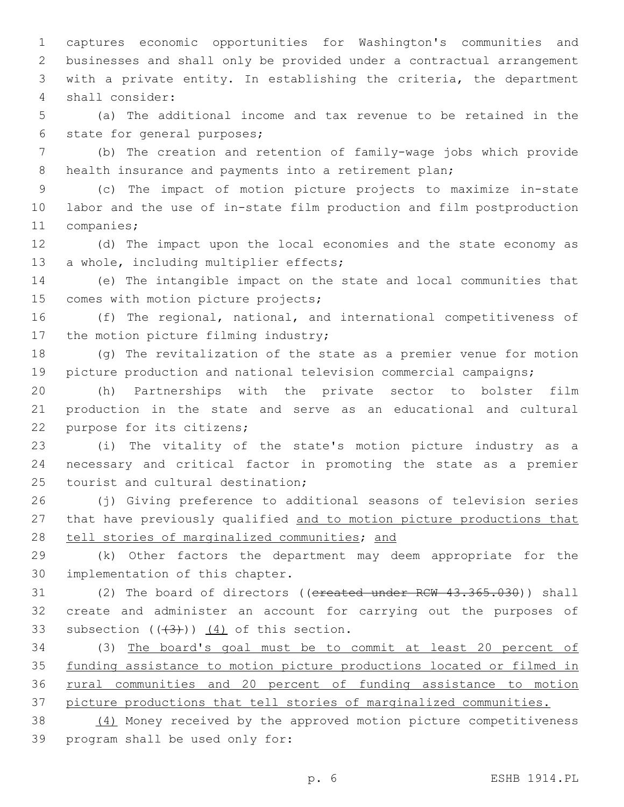captures economic opportunities for Washington's communities and businesses and shall only be provided under a contractual arrangement with a private entity. In establishing the criteria, the department shall consider:4

 (a) The additional income and tax revenue to be retained in the 6 state for general purposes;

 (b) The creation and retention of family-wage jobs which provide 8 health insurance and payments into a retirement plan;

 (c) The impact of motion picture projects to maximize in-state labor and the use of in-state film production and film postproduction 11 companies;

 (d) The impact upon the local economies and the state economy as 13 a whole, including multiplier effects;

 (e) The intangible impact on the state and local communities that 15 comes with motion picture projects;

 (f) The regional, national, and international competitiveness of 17 the motion picture filming industry;

 (g) The revitalization of the state as a premier venue for motion picture production and national television commercial campaigns;

 (h) Partnerships with the private sector to bolster film production in the state and serve as an educational and cultural 22 purpose for its citizens;

 (i) The vitality of the state's motion picture industry as a necessary and critical factor in promoting the state as a premier 25 tourist and cultural destination;

 (j) Giving preference to additional seasons of television series that have previously qualified and to motion picture productions that 28 tell stories of marginalized communities; and

 (k) Other factors the department may deem appropriate for the 30 implementation of this chapter.

31 (2) The board of directors ((ereated under RCW 43.365.030)) shall create and administer an account for carrying out the purposes of 33 subsection  $((+3))$   $(4)$  of this section.

 (3) The board's goal must be to commit at least 20 percent of funding assistance to motion picture productions located or filmed in rural communities and 20 percent of funding assistance to motion picture productions that tell stories of marginalized communities.

 (4) Money received by the approved motion picture competitiveness 39 program shall be used only for: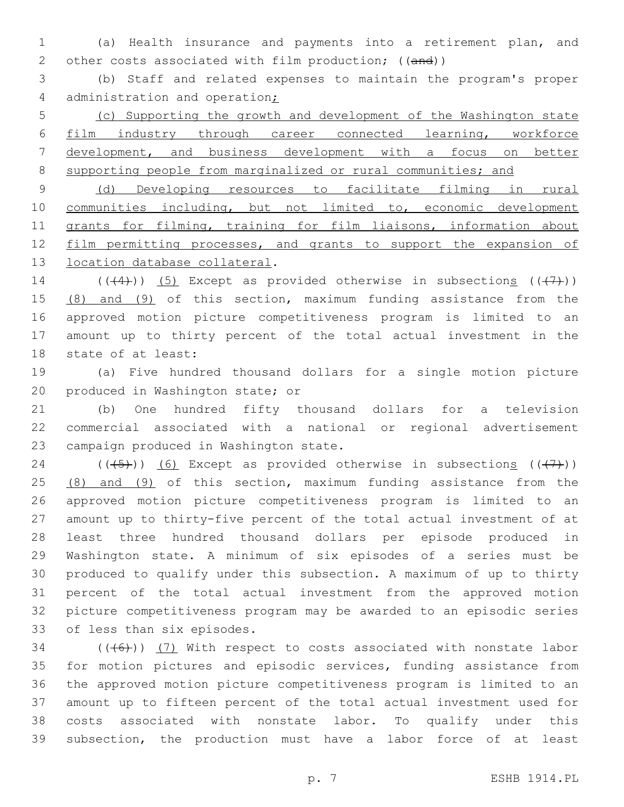(a) Health insurance and payments into a retirement plan, and 2 other costs associated with film production; ((and))

 (b) Staff and related expenses to maintain the program's proper 4 administration and operation;

 (c) Supporting the growth and development of the Washington state film industry through career connected learning, workforce development, and business development with a focus on better 8 supporting people from marginalized or rural communities; and

 (d) Developing resources to facilitate filming in rural communities including, but not limited to, economic development 11 grants for filming, training for film liaisons, information about 12 film permitting processes, and grants to support the expansion of 13 location database collateral.

14 ( $((+4)$ )) (5) Except as provided otherwise in subsections  $((+7)$ ) 15 (8) and (9) of this section, maximum funding assistance from the approved motion picture competitiveness program is limited to an amount up to thirty percent of the total actual investment in the 18 state of at least:

 (a) Five hundred thousand dollars for a single motion picture 20 produced in Washington state; or

 (b) One hundred fifty thousand dollars for a television commercial associated with a national or regional advertisement 23 campaign produced in Washington state.

24 ( $(\overline{(-5+)})$  (6) Except as provided otherwise in subsections ( $(\overline{(+7+)})$ ) 25 (8) and (9) of this section, maximum funding assistance from the approved motion picture competitiveness program is limited to an amount up to thirty-five percent of the total actual investment of at least three hundred thousand dollars per episode produced in Washington state. A minimum of six episodes of a series must be produced to qualify under this subsection. A maximum of up to thirty percent of the total actual investment from the approved motion picture competitiveness program may be awarded to an episodic series 33 of less than six episodes.

 (( $(46)$ )) (7) With respect to costs associated with nonstate labor for motion pictures and episodic services, funding assistance from the approved motion picture competitiveness program is limited to an amount up to fifteen percent of the total actual investment used for costs associated with nonstate labor. To qualify under this subsection, the production must have a labor force of at least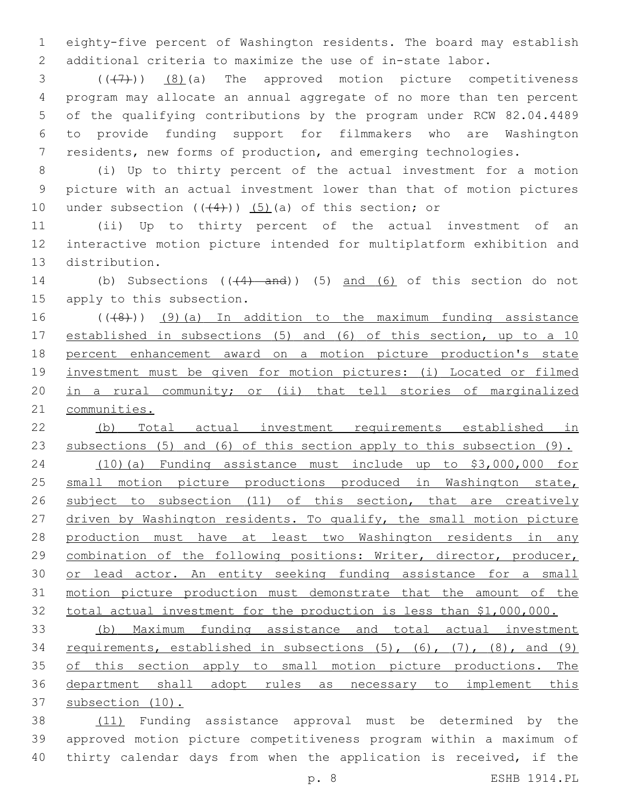eighty-five percent of Washington residents. The board may establish additional criteria to maximize the use of in-state labor.

  $((+7+))$   $(8)$  (a) The approved motion picture competitiveness program may allocate an annual aggregate of no more than ten percent of the qualifying contributions by the program under RCW 82.04.4489 to provide funding support for filmmakers who are Washington residents, new forms of production, and emerging technologies.

 (i) Up to thirty percent of the actual investment for a motion picture with an actual investment lower than that of motion pictures 10 under subsection  $((+4))$   $(5)$  (a) of this section; or

 (ii) Up to thirty percent of the actual investment of an interactive motion picture intended for multiplatform exhibition and 13 distribution.

14 (b) Subsections (( $(4)$  and)) (5) and (6) of this section do not 15 apply to this subsection.

16 (((8)) (9)(a) In addition to the maximum funding assistance established in subsections (5) and (6) of this section, up to a 10 percent enhancement award on a motion picture production's state investment must be given for motion pictures: (i) Located or filmed in a rural community; or (ii) that tell stories of marginalized communities.

 (b) Total actual investment requirements established in subsections (5) and (6) of this section apply to this subsection (9). (10)(a) Funding assistance must include up to \$3,000,000 for 25 small motion picture productions produced in Washington state, 26 subject to subsection (11) of this section, that are creatively 27 driven by Washington residents. To qualify, the small motion picture production must have at least two Washington residents in any

 combination of the following positions: Writer, director, producer, 30 or lead actor. An entity seeking funding assistance for a small motion picture production must demonstrate that the amount of the total actual investment for the production is less than \$1,000,000.

 (b) Maximum funding assistance and total actual investment requirements, established in subsections (5), (6), (7), (8), and (9) 35 of this section apply to small motion picture productions. The department shall adopt rules as necessary to implement this subsection (10).

 (11) Funding assistance approval must be determined by the approved motion picture competitiveness program within a maximum of thirty calendar days from when the application is received, if the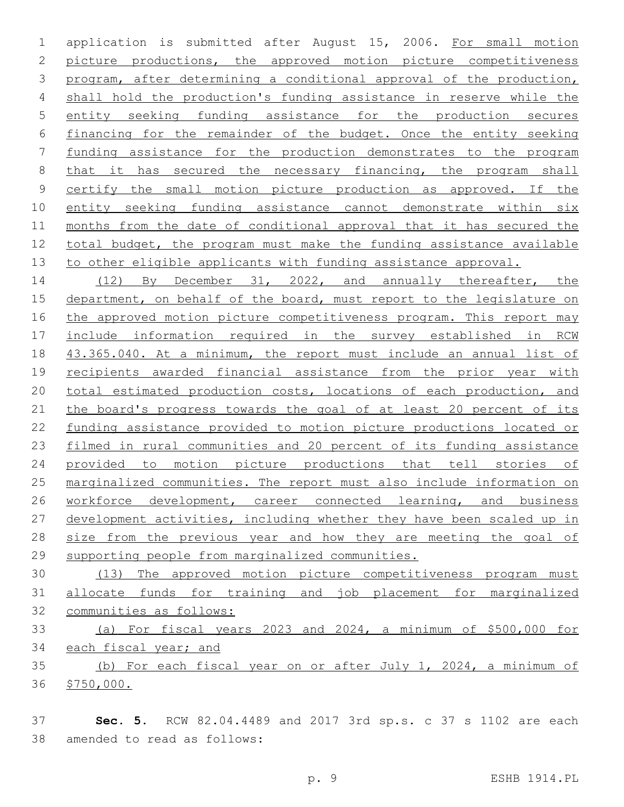application is submitted after August 15, 2006. For small motion picture productions, the approved motion picture competitiveness program, after determining a conditional approval of the production, shall hold the production's funding assistance in reserve while the entity seeking funding assistance for the production secures financing for the remainder of the budget. Once the entity seeking funding assistance for the production demonstrates to the program 8 that it has secured the necessary financing, the program shall certify the small motion picture production as approved. If the entity seeking funding assistance cannot demonstrate within six months from the date of conditional approval that it has secured the total budget, the program must make the funding assistance available 13 to other eligible applicants with funding assistance approval.

14 (12) By December 31, 2022, and annually thereafter, the department, on behalf of the board, must report to the legislature on 16 the approved motion picture competitiveness program. This report may include information required in the survey established in RCW 43.365.040. At a minimum, the report must include an annual list of recipients awarded financial assistance from the prior year with 20 total estimated production costs, locations of each production, and 21 the board's progress towards the goal of at least 20 percent of its funding assistance provided to motion picture productions located or filmed in rural communities and 20 percent of its funding assistance provided to motion picture productions that tell stories of marginalized communities. The report must also include information on 26 workforce development, career connected learning, and business development activities, including whether they have been scaled up in 28 size from the previous year and how they are meeting the goal of supporting people from marginalized communities.

 (13) The approved motion picture competitiveness program must allocate funds for training and job placement for marginalized communities as follows:

 (a) For fiscal years 2023 and 2024, a minimum of \$500,000 for 34 each fiscal year; and

 (b) For each fiscal year on or after July 1, 2024, a minimum of \$750,000.

 **Sec. 5.** RCW 82.04.4489 and 2017 3rd sp.s. c 37 s 1102 are each 38 amended to read as follows: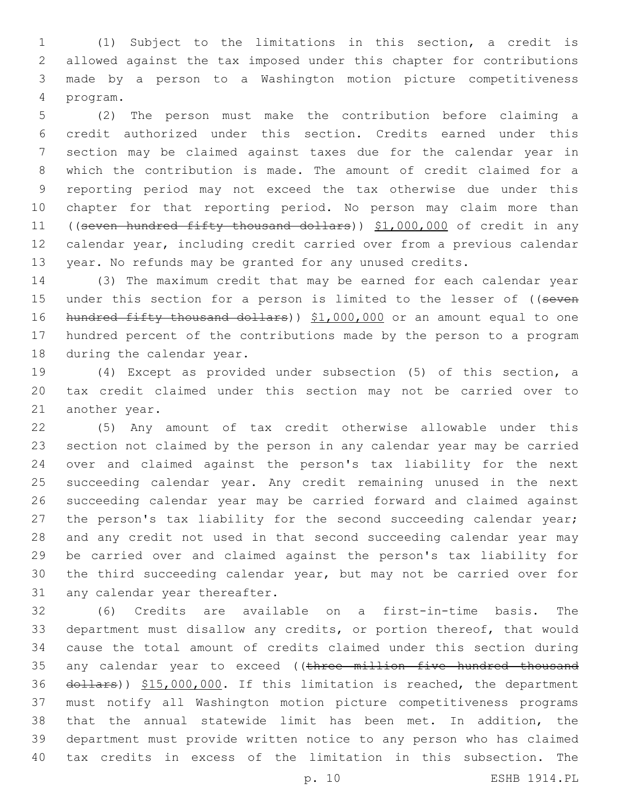(1) Subject to the limitations in this section, a credit is allowed against the tax imposed under this chapter for contributions made by a person to a Washington motion picture competitiveness program.4

 (2) The person must make the contribution before claiming a credit authorized under this section. Credits earned under this section may be claimed against taxes due for the calendar year in which the contribution is made. The amount of credit claimed for a reporting period may not exceed the tax otherwise due under this chapter for that reporting period. No person may claim more than ((seven hundred fifty thousand dollars)) \$1,000,000 of credit in any calendar year, including credit carried over from a previous calendar year. No refunds may be granted for any unused credits.

 (3) The maximum credit that may be earned for each calendar year 15 under this section for a person is limited to the lesser of ((seven 16 hundred fifty thousand dollars)) \$1,000,000 or an amount equal to one hundred percent of the contributions made by the person to a program 18 during the calendar year.

 (4) Except as provided under subsection (5) of this section, a tax credit claimed under this section may not be carried over to 21 another year.

 (5) Any amount of tax credit otherwise allowable under this section not claimed by the person in any calendar year may be carried over and claimed against the person's tax liability for the next succeeding calendar year. Any credit remaining unused in the next succeeding calendar year may be carried forward and claimed against 27 the person's tax liability for the second succeeding calendar year; and any credit not used in that second succeeding calendar year may be carried over and claimed against the person's tax liability for the third succeeding calendar year, but may not be carried over for 31 any calendar year thereafter.

 (6) Credits are available on a first-in-time basis. The department must disallow any credits, or portion thereof, that would cause the total amount of credits claimed under this section during 35 any calendar year to exceed ((three million five hundred thousand 36 dollars)) \$15,000,000. If this limitation is reached, the department must notify all Washington motion picture competitiveness programs that the annual statewide limit has been met. In addition, the department must provide written notice to any person who has claimed tax credits in excess of the limitation in this subsection. The

p. 10 ESHB 1914.PL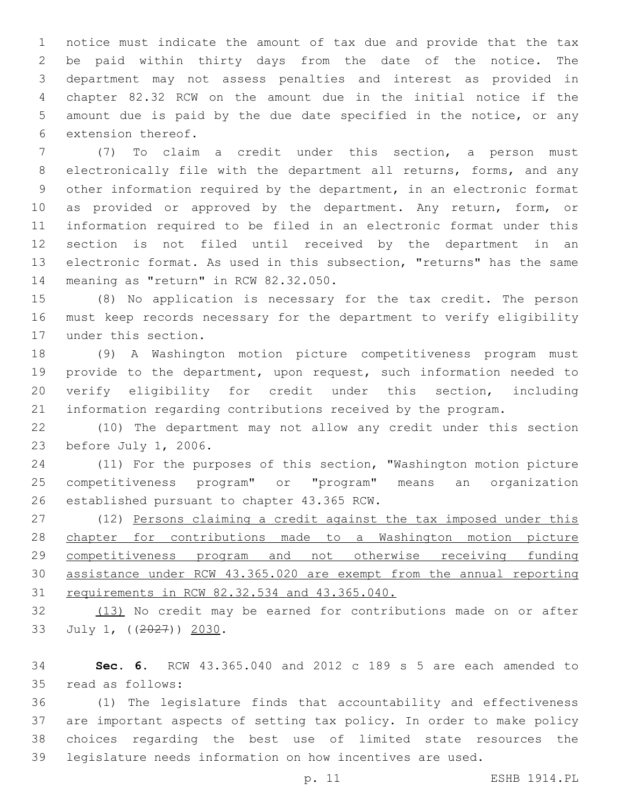notice must indicate the amount of tax due and provide that the tax be paid within thirty days from the date of the notice. The department may not assess penalties and interest as provided in chapter 82.32 RCW on the amount due in the initial notice if the amount due is paid by the due date specified in the notice, or any 6 extension thereof.

 (7) To claim a credit under this section, a person must electronically file with the department all returns, forms, and any other information required by the department, in an electronic format 10 as provided or approved by the department. Any return, form, or information required to be filed in an electronic format under this section is not filed until received by the department in an electronic format. As used in this subsection, "returns" has the same 14 meaning as "return" in RCW 82.32.050.

 (8) No application is necessary for the tax credit. The person must keep records necessary for the department to verify eligibility 17 under this section.

 (9) A Washington motion picture competitiveness program must provide to the department, upon request, such information needed to verify eligibility for credit under this section, including information regarding contributions received by the program.

 (10) The department may not allow any credit under this section 23 before July 1, 2006.

 (11) For the purposes of this section, "Washington motion picture competitiveness program" or "program" means an organization 26 established pursuant to chapter 43.365 RCW.

27 (12) Persons claiming a credit against the tax imposed under this chapter for contributions made to a Washington motion picture competitiveness program and not otherwise receiving funding assistance under RCW 43.365.020 are exempt from the annual reporting requirements in RCW 82.32.534 and 43.365.040.

32 (13) No credit may be earned for contributions made on or after 33 July 1, ((2027)) 2030.

 **Sec. 6.** RCW 43.365.040 and 2012 c 189 s 5 are each amended to 35 read as follows:

 (1) The legislature finds that accountability and effectiveness are important aspects of setting tax policy. In order to make policy choices regarding the best use of limited state resources the legislature needs information on how incentives are used.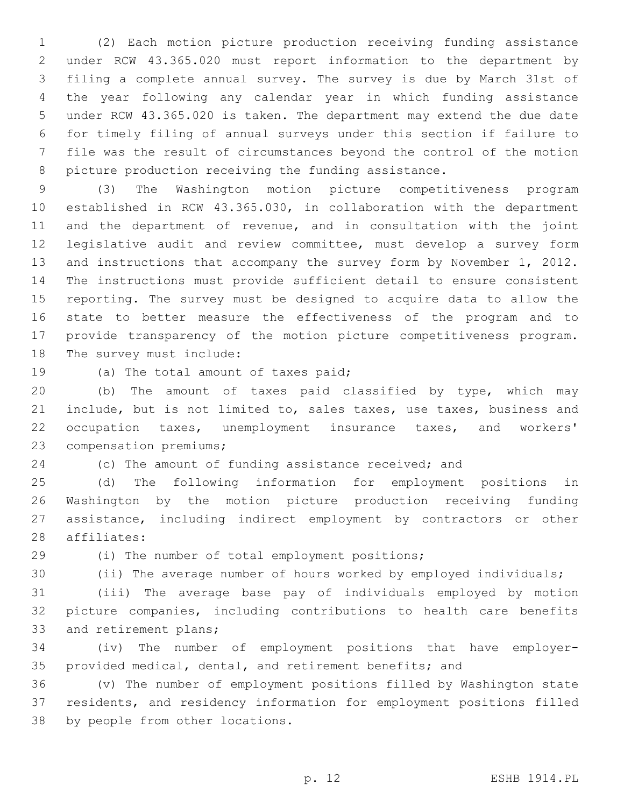(2) Each motion picture production receiving funding assistance under RCW 43.365.020 must report information to the department by filing a complete annual survey. The survey is due by March 31st of the year following any calendar year in which funding assistance under RCW 43.365.020 is taken. The department may extend the due date for timely filing of annual surveys under this section if failure to file was the result of circumstances beyond the control of the motion picture production receiving the funding assistance.

 (3) The Washington motion picture competitiveness program established in RCW 43.365.030, in collaboration with the department and the department of revenue, and in consultation with the joint legislative audit and review committee, must develop a survey form 13 and instructions that accompany the survey form by November 1, 2012. The instructions must provide sufficient detail to ensure consistent reporting. The survey must be designed to acquire data to allow the state to better measure the effectiveness of the program and to provide transparency of the motion picture competitiveness program. 18 The survey must include:

19 (a) The total amount of taxes paid;

 (b) The amount of taxes paid classified by type, which may include, but is not limited to, sales taxes, use taxes, business and occupation taxes, unemployment insurance taxes, and workers' 23 compensation premiums;

(c) The amount of funding assistance received; and

 (d) The following information for employment positions in Washington by the motion picture production receiving funding assistance, including indirect employment by contractors or other 28 affiliates:

29 (i) The number of total employment positions;

(ii) The average number of hours worked by employed individuals;

 (iii) The average base pay of individuals employed by motion picture companies, including contributions to health care benefits 33 and retirement plans;

 (iv) The number of employment positions that have employer-provided medical, dental, and retirement benefits; and

 (v) The number of employment positions filled by Washington state residents, and residency information for employment positions filled 38 by people from other locations.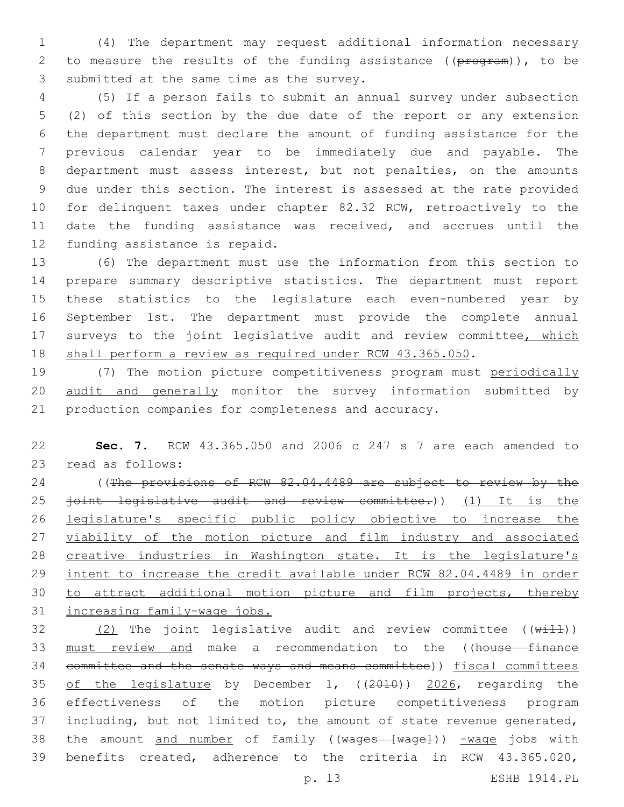(4) The department may request additional information necessary 2 to measure the results of the funding assistance ((program)), to be 3 submitted at the same time as the survey.

 (5) If a person fails to submit an annual survey under subsection (2) of this section by the due date of the report or any extension the department must declare the amount of funding assistance for the previous calendar year to be immediately due and payable. The department must assess interest, but not penalties, on the amounts due under this section. The interest is assessed at the rate provided for delinquent taxes under chapter 82.32 RCW, retroactively to the date the funding assistance was received, and accrues until the 12 funding assistance is repaid.

 (6) The department must use the information from this section to prepare summary descriptive statistics. The department must report these statistics to the legislature each even-numbered year by September 1st. The department must provide the complete annual 17 surveys to the joint legislative audit and review committee, which 18 shall perform a review as required under RCW 43.365.050.

 (7) The motion picture competitiveness program must periodically audit and generally monitor the survey information submitted by production companies for completeness and accuracy.

 **Sec. 7.** RCW 43.365.050 and 2006 c 247 s 7 are each amended to 23 read as follows:

24 ((The provisions of RCW 82.04.4489 are subject to review by the 25 <del>joint legislative audit and review committee.</del>)) (1) It is the legislature's specific public policy objective to increase the 27 viability of the motion picture and film industry and associated creative industries in Washington state. It is the legislature's 29 intent to increase the credit available under RCW 82.04.4489 in order to attract additional motion picture and film projects, thereby increasing family-wage jobs.

 $(2)$  The joint legislative audit and review committee  $((\overline{width}))$ 33 must review and make a recommendation to the ((house finance 34 committee and the senate ways and means committee)) fiscal committees of the legislature by December 1, ((2010)) 2026, regarding the effectiveness of the motion picture competitiveness program including, but not limited to, the amount of state revenue generated, 38 the amount and number of family ((wages [wage])) -wage jobs with benefits created, adherence to the criteria in RCW 43.365.020,